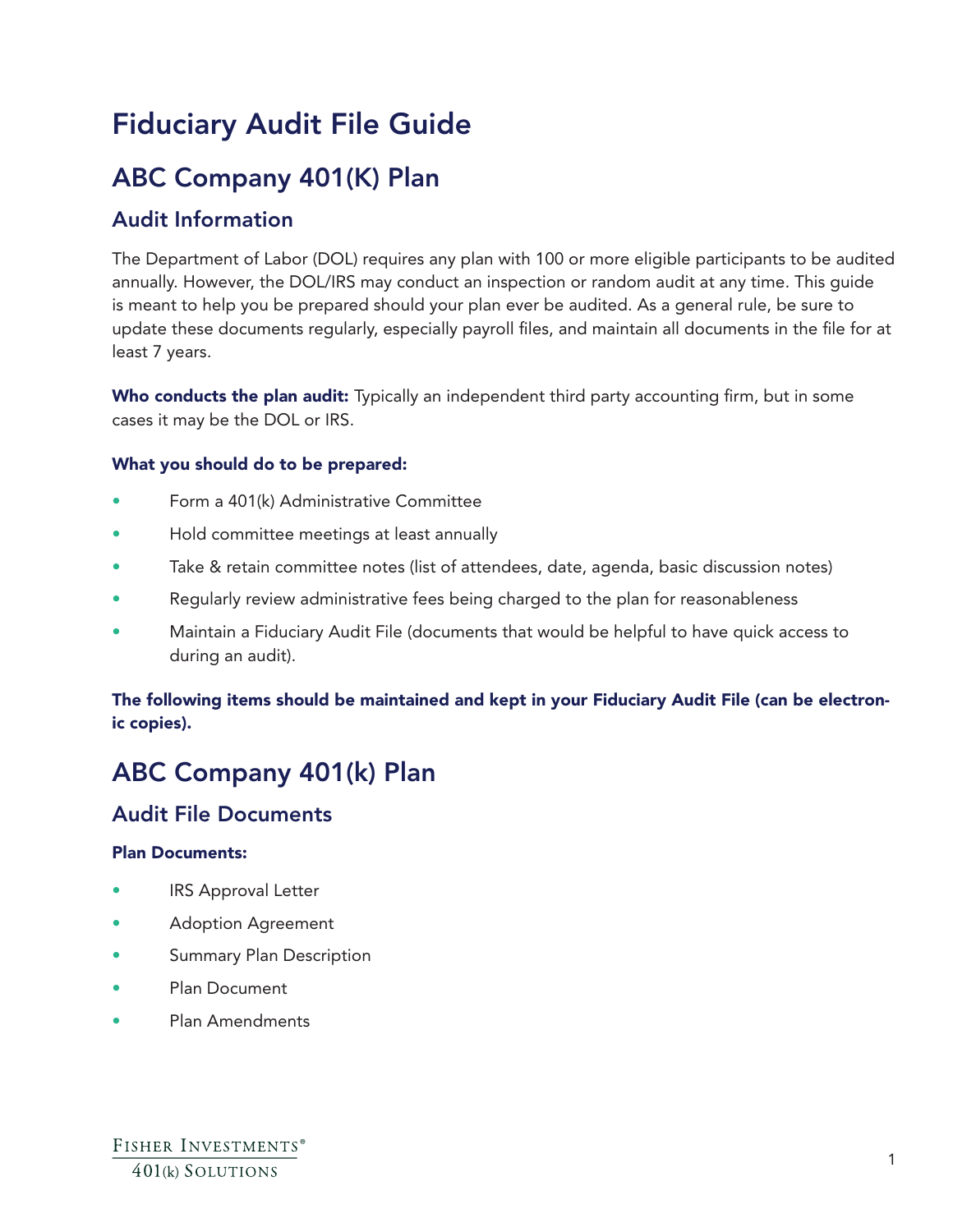# Fiduciary Audit File Guide

## ABC Company 401(K) Plan

### Audit Information

The Department of Labor (DOL) requires any plan with 100 or more eligible participants to be audited annually. However, the DOL/IRS may conduct an inspection or random audit at any time. This guide is meant to help you be prepared should your plan ever be audited. As a general rule, be sure to update these documents regularly, especially payroll files, and maintain all documents in the file for at least 7 years.

Who conducts the plan audit: Typically an independent third party accounting firm, but in some cases it may be the DOL or IRS.

#### What you should do to be prepared:

- Form a 401(k) Administrative Committee
- Hold committee meetings at least annually
- Take & retain committee notes (list of attendees, date, agenda, basic discussion notes)
- Regularly review administrative fees being charged to the plan for reasonableness
- Maintain a Fiduciary Audit File (documents that would be helpful to have quick access to during an audit).

#### The following items should be maintained and kept in your Fiduciary Audit File (can be electronic copies).

## ABC Company 401(k) Plan

### Audit File Documents

#### Plan Documents:

- IRS Approval Letter
- Adoption Agreement
- Summary Plan Description
- Plan Document
- Plan Amendments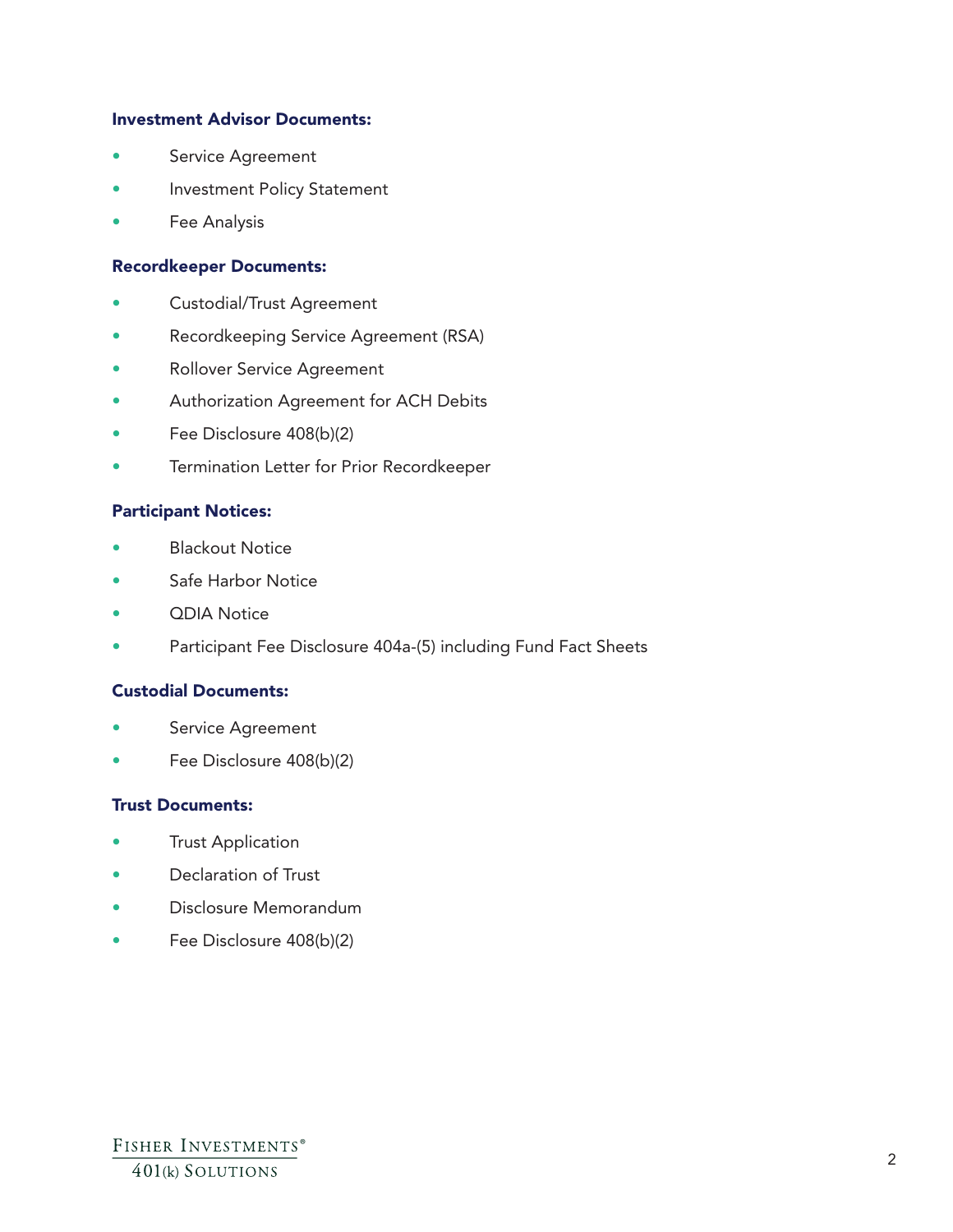#### Investment Advisor Documents:

- Service Agreement
- Investment Policy Statement
- Fee Analysis

#### Recordkeeper Documents:

- Custodial/Trust Agreement
- Recordkeeping Service Agreement (RSA)
- Rollover Service Agreement
- Authorization Agreement for ACH Debits
- Fee Disclosure 408(b)(2)
- Termination Letter for Prior Recordkeeper

#### Participant Notices:

- **Blackout Notice**
- Safe Harbor Notice
- QDIA Notice
- Participant Fee Disclosure 404a-(5) including Fund Fact Sheets

#### Custodial Documents:

- Service Agreement
- Fee Disclosure 408(b)(2)

#### Trust Documents:

- **Trust Application**
- Declaration of Trust
- Disclosure Memorandum
- Fee Disclosure 408(b)(2)